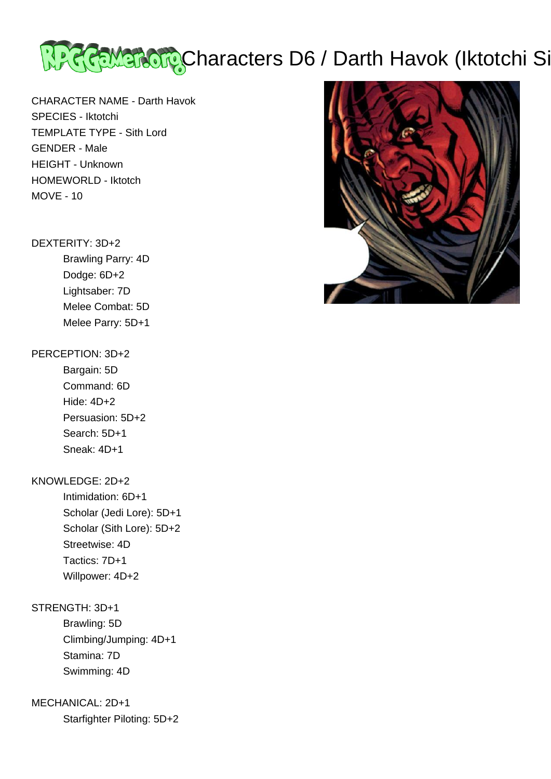

CHARACTER NAME - Darth Havok SPECIES - Iktotchi TEMPLATE TYPE - Sith Lord GENDER - Male HEIGHT - Unknown HOMEWORLD - Iktotch MOVE - 10

#### DEXTERITY: 3D+2

 Brawling Parry: 4D Dodge: 6D+2 Lightsaber: 7D Melee Combat: 5D Melee Parry: 5D+1

### PERCEPTION: 3D+2

 Bargain: 5D Command: 6D Hide: 4D+2 Persuasion: 5D+2 Search: 5D+1 Sneak: 4D+1

### KNOWLEDGE: 2D+2

 Intimidation: 6D+1 Scholar (Jedi Lore): 5D+1 Scholar (Sith Lore): 5D+2 Streetwise: 4D Tactics: 7D+1 Willpower: 4D+2

# STRENGTH: 3D+1

 Brawling: 5D Climbing/Jumping: 4D+1 Stamina: 7D Swimming: 4D

## MECHANICAL: 2D+1

Starfighter Piloting: 5D+2

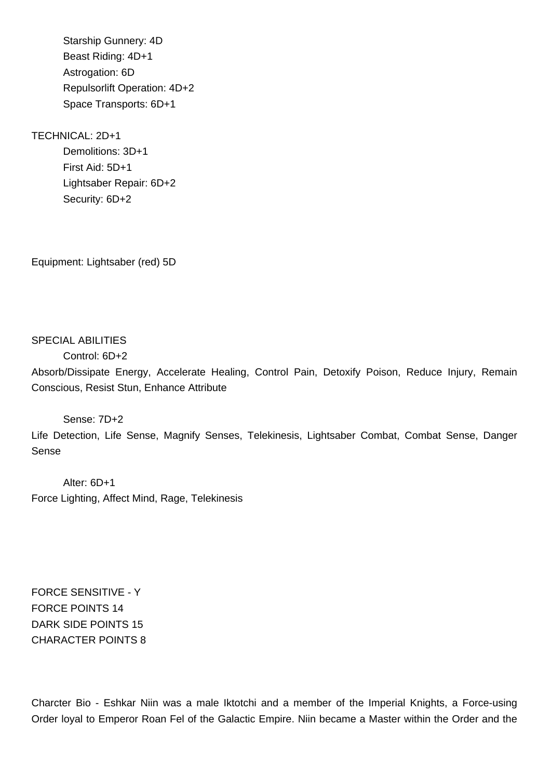Starship Gunnery: 4D Beast Riding: 4D+1 Astrogation: 6D Repulsorlift Operation: 4D+2 Space Transports: 6D+1

### TECHNICAL: 2D+1

 Demolitions: 3D+1 First Aid: 5D+1 Lightsaber Repair: 6D+2 Security: 6D+2

Equipment: Lightsaber (red) 5D

## SPECIAL ABILITIES

Control: 6D+2

Absorb/Dissipate Energy, Accelerate Healing, Control Pain, Detoxify Poison, Reduce Injury, Remain Conscious, Resist Stun, Enhance Attribute

#### Sense: 7D+2

Life Detection, Life Sense, Magnify Senses, Telekinesis, Lightsaber Combat, Combat Sense, Danger Sense

 Alter: 6D+1 Force Lighting, Affect Mind, Rage, Telekinesis

FORCE SENSITIVE - Y FORCE POINTS 14 DARK SIDE POINTS 15 CHARACTER POINTS 8

Charcter Bio - Eshkar Niin was a male Iktotchi and a member of the Imperial Knights, a Force-using Order loyal to Emperor Roan Fel of the Galactic Empire. Niin became a Master within the Order and the